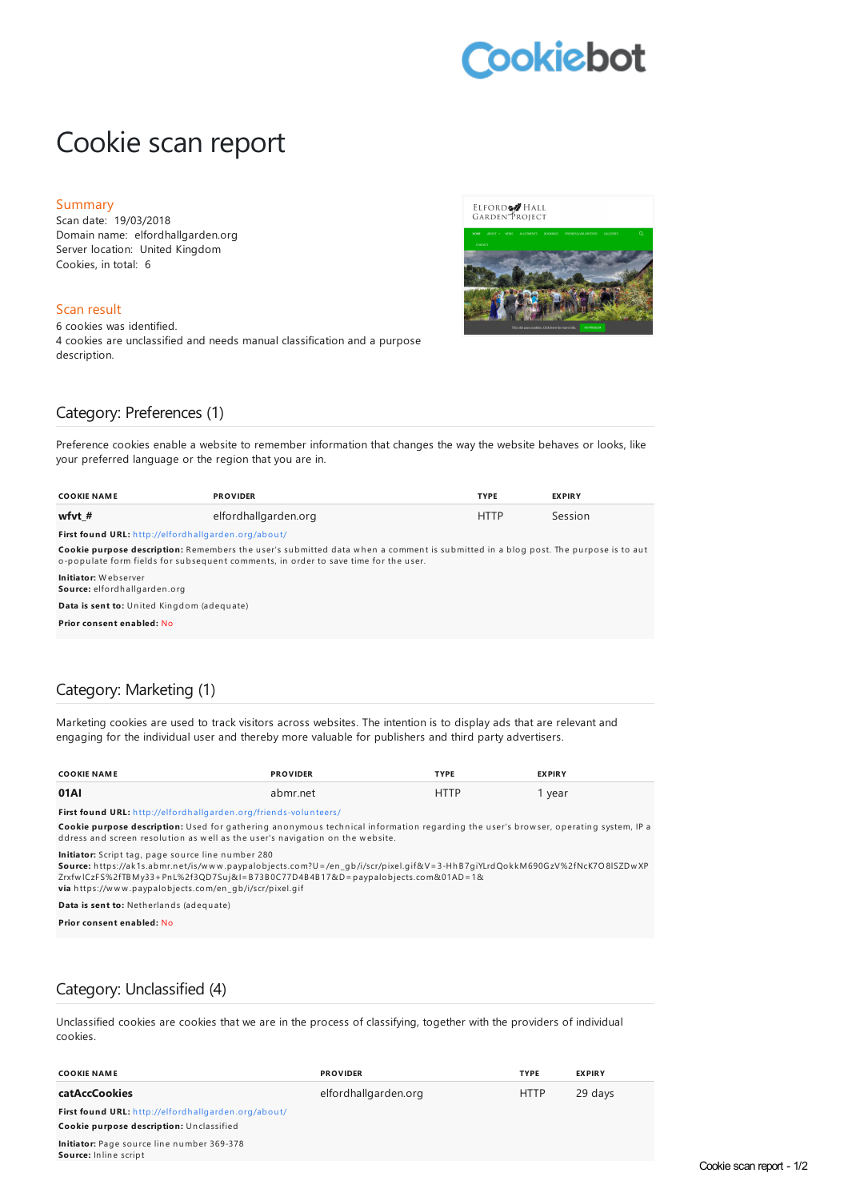# **cokiebot**

# Cookie scan report

#### Summary

Scan date: 19/03/2018 Domain name: elfordhallgarden.org Server location: United Kingdom Cookies, in total: 6

#### Scan result

6 cookies was identified. 4 cookies are unclassified and needs manual classification and a purpose description.





### Category: Preferences (1)

Preference cookies enable a website to remember information that changes the way the website behaves or looks, like your preferred language or the region that you are in.

| <b>COOKIE NAME</b>                                                                                                                                                                                                              | <b>PROVIDER</b>      | <b>TYPE</b> | <b>EXPIRY</b> |  |  |
|---------------------------------------------------------------------------------------------------------------------------------------------------------------------------------------------------------------------------------|----------------------|-------------|---------------|--|--|
| wfyt $#$                                                                                                                                                                                                                        | elfordhallgarden.org | <b>HTTP</b> | Session       |  |  |
| First found URL: http://elfordhallgarden.org/about/                                                                                                                                                                             |                      |             |               |  |  |
| <b>Cookie purpose description:</b> Remembers the user's submitted data when a comment is submitted in a blog post. The purpose is to aut<br>o-populate form fields for subsequent comments, in order to save time for the user. |                      |             |               |  |  |
| Initiator: Webserver<br>Source: elfordhallgarden.org                                                                                                                                                                            |                      |             |               |  |  |
| Data is sent to: United Kingdom (adequate)                                                                                                                                                                                      |                      |             |               |  |  |
| Prior consent enabled: No                                                                                                                                                                                                       |                      |             |               |  |  |

# Category: Marketing (1)

Marketing cookies are used to track visitors across websites. The intention is to display ads that are relevant and engaging for the individual user and thereby more valuable for publishers and third party advertisers.

| <b>COOKIE NAME</b> | <b>PROVIDER</b> | <b>TYPE</b> | <b>EXPIRY</b> |
|--------------------|-----------------|-------------|---------------|
| 01AI               | abmr.net        | <b>HTTP</b> | year          |

**First found URL:** h [ttp://elfordh](http://elfordhallgarden.org/friends-volunteers/) allgarden .org/frien ds-volu n teers/

Cookie purpose description: Used for gathering anonymous technical information regarding the user's browser, operating system, IP a ddress and screen resolution as well as the user's navigation on the website.

**Initiator:** Script tag, page source line number 280

<mark>Source:</mark> https://ak1s.abmr.net/is/w w w .paypalobjects.com?U=/en\_gb/i/scr/pixel.gif&V=3-HhB7giYLrdQokkM690GzV%2fNcK7O8lSZDw XP<br>Zrxfw lCzFS%2fTBMy33+PnL%2f3QD7Suj&I=B73B0C77D4B4B17&D=paypalobjects.com&01AD=1& **via** h ttps://w w w .paypalobjects.com/en \_gb/i/scr/pixel.gif

**Data is sent to:** Neth erlan ds (adequ ate)

**Prior consent enabled:** No

# Category: Unclassified (4)

Unclassified cookies are cookies that we are in the process of classifying, together with the providers of individual cookies.

| <b>COOKIE NAME</b>                                                         | <b>PROVIDER</b>      | <b>TYPE</b> | <b>EXPIRY</b> |
|----------------------------------------------------------------------------|----------------------|-------------|---------------|
| <b>catAccCookies</b>                                                       | elfordhallgarden.org | <b>HTTP</b> | 29 days       |
| First found URL: http://elfordhallgarden.org/about/                        |                      |             |               |
| Cookie purpose description: Unclassified                                   |                      |             |               |
| Initiator: Page source line number 369-378<br><b>Source:</b> Inline script |                      |             |               |